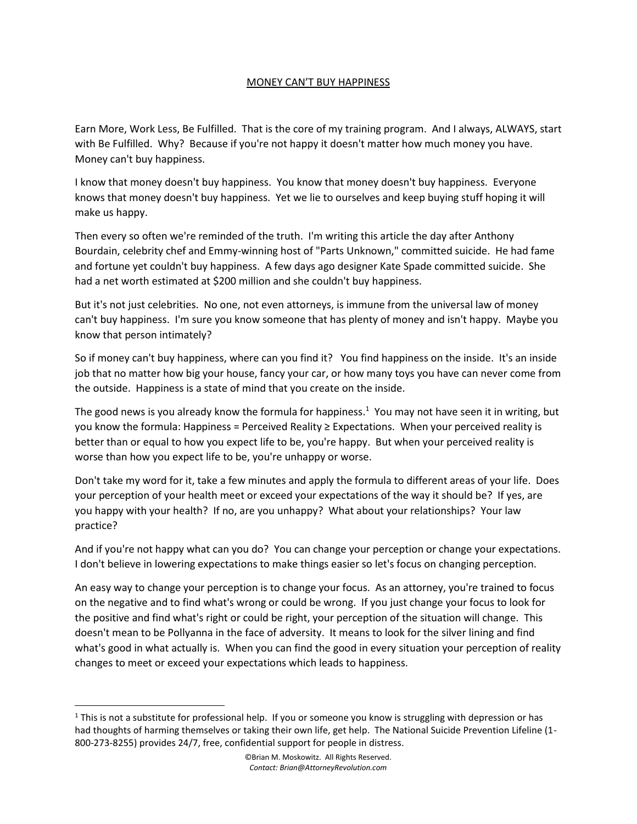## MONEY CAN'T BUY HAPPINESS

Earn More, Work Less, Be Fulfilled. That is the core of my training program. And I always, ALWAYS, start with Be Fulfilled. Why? Because if you're not happy it doesn't matter how much money you have. Money can't buy happiness.

I know that money doesn't buy happiness. You know that money doesn't buy happiness. Everyone knows that money doesn't buy happiness. Yet we lie to ourselves and keep buying stuff hoping it will make us happy.

Then every so often we're reminded of the truth. I'm writing this article the day after Anthony Bourdain, celebrity chef and Emmy-winning host of "Parts Unknown," committed suicide. He had fame and fortune yet couldn't buy happiness. A few days ago designer Kate Spade committed suicide. She had a net worth estimated at \$200 million and she couldn't buy happiness.

But it's not just celebrities. No one, not even attorneys, is immune from the universal law of money can't buy happiness. I'm sure you know someone that has plenty of money and isn't happy. Maybe you know that person intimately?

So if money can't buy happiness, where can you find it? You find happiness on the inside. It's an inside job that no matter how big your house, fancy your car, or how many toys you have can never come from the outside. Happiness is a state of mind that you create on the inside.

The good news is you already know the formula for happiness.<sup>1</sup> You may not have seen it in writing, but you know the formula: Happiness = Perceived Reality ≥ Expectations. When your perceived reality is better than or equal to how you expect life to be, you're happy. But when your perceived reality is worse than how you expect life to be, you're unhappy or worse.

Don't take my word for it, take a few minutes and apply the formula to different areas of your life. Does your perception of your health meet or exceed your expectations of the way it should be? If yes, are you happy with your health? If no, are you unhappy? What about your relationships? Your law practice?

And if you're not happy what can you do? You can change your perception or change your expectations. I don't believe in lowering expectations to make things easier so let's focus on changing perception.

An easy way to change your perception is to change your focus. As an attorney, you're trained to focus on the negative and to find what's wrong or could be wrong. If you just change your focus to look for the positive and find what's right or could be right, your perception of the situation will change. This doesn't mean to be Pollyanna in the face of adversity. It means to look for the silver lining and find what's good in what actually is. When you can find the good in every situation your perception of reality changes to meet or exceed your expectations which leads to happiness.

 $1$  This is not a substitute for professional help. If you or someone you know is struggling with depression or has had thoughts of harming themselves or taking their own life, get help. The National Suicide Prevention Lifeline (1- 800-273-8255) provides 24/7, free, confidential support for people in distress.